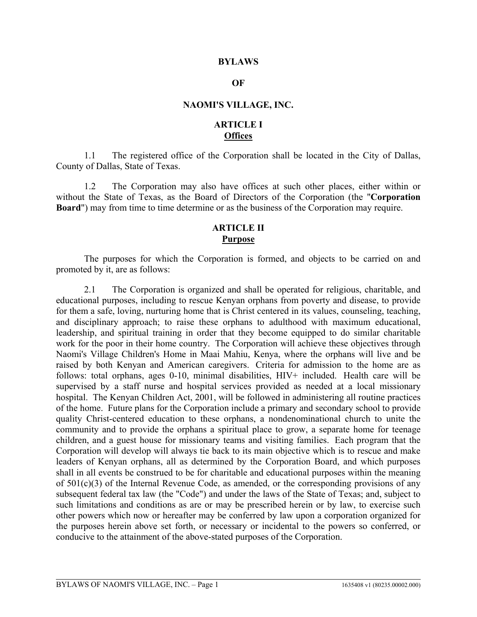#### **BYLAWS**

#### **OF**

#### **NAOMI'S VILLAGE, INC.**

#### **ARTICLE I Offices**

1.1 The registered office of the Corporation shall be located in the City of Dallas, County of Dallas, State of Texas.

1.2 The Corporation may also have offices at such other places, either within or without the State of Texas, as the Board of Directors of the Corporation (the "**Corporation Board**") may from time to time determine or as the business of the Corporation may require.

### **ARTICLE II Purpose**

The purposes for which the Corporation is formed, and objects to be carried on and promoted by it, are as follows:

2.1 The Corporation is organized and shall be operated for religious, charitable, and educational purposes, including to rescue Kenyan orphans from poverty and disease, to provide for them a safe, loving, nurturing home that is Christ centered in its values, counseling, teaching, and disciplinary approach; to raise these orphans to adulthood with maximum educational, leadership, and spiritual training in order that they become equipped to do similar charitable work for the poor in their home country. The Corporation will achieve these objectives through Naomi's Village Children's Home in Maai Mahiu, Kenya, where the orphans will live and be raised by both Kenyan and American caregivers. Criteria for admission to the home are as follows: total orphans, ages 0-10, minimal disabilities, HIV+ included. Health care will be supervised by a staff nurse and hospital services provided as needed at a local missionary hospital. The Kenyan Children Act, 2001, will be followed in administering all routine practices of the home. Future plans for the Corporation include a primary and secondary school to provide quality Christ-centered education to these orphans, a nondenominational church to unite the community and to provide the orphans a spiritual place to grow, a separate home for teenage children, and a guest house for missionary teams and visiting families. Each program that the Corporation will develop will always tie back to its main objective which is to rescue and make leaders of Kenyan orphans, all as determined by the Corporation Board, and which purposes shall in all events be construed to be for charitable and educational purposes within the meaning of 501(c)(3) of the Internal Revenue Code, as amended, or the corresponding provisions of any subsequent federal tax law (the "Code") and under the laws of the State of Texas; and, subject to such limitations and conditions as are or may be prescribed herein or by law, to exercise such other powers which now or hereafter may be conferred by law upon a corporation organized for the purposes herein above set forth, or necessary or incidental to the powers so conferred, or conducive to the attainment of the above-stated purposes of the Corporation.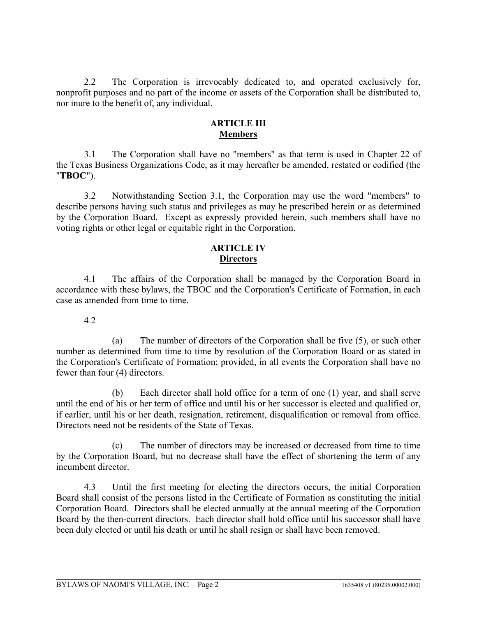2.2 The Corporation is irrevocably dedicated to, and operated exclusively for, nonprofit purposes and no part of the income or assets of the Corporation shall be distributed to, nor inure to the benefit of, any individual.

## **ARTICLE III Members**

3.1 The Corporation shall have no "members" as that term is used in Chapter 22 of the Texas Business Organizations Code, as it may hereafter be amended, restated or codified (the "**TBOC**").

3.2 Notwithstanding Section 3.1, the Corporation may use the word "members" to describe persons having such status and privileges as may he prescribed herein or as determined by the Corporation Board. Except as expressly provided herein, such members shall have no voting rights or other legal or equitable right in the Corporation.

### **ARTICLE IV Directors**

4.1 The affairs of the Corporation shall be managed by the Corporation Board in accordance with these bylaws, the TBOC and the Corporation's Certificate of Formation, in each case as amended from time to time.

### 4.2

(a) The number of directors of the Corporation shall be five (5), or such other number as determined from time to time by resolution of the Corporation Board or as stated in the Corporation's Certificate of Formation; provided, in all events the Corporation shall have no fewer than four (4) directors.

(b) Each director shall hold office for a term of one (1) year, and shall serve until the end of his or her term of office and until his or her successor is elected and qualified or, if earlier, until his or her death, resignation, retirement, disqualification or removal from office. Directors need not be residents of the State of Texas.

(c) The number of directors may be increased or decreased from time to time by the Corporation Board, but no decrease shall have the effect of shortening the term of any incumbent director.

4.3 Until the first meeting for electing the directors occurs, the initial Corporation Board shall consist of the persons listed in the Certificate of Formation as constituting the initial Corporation Board. Directors shall be elected annually at the annual meeting of the Corporation Board by the then-current directors. Each director shall hold office until his successor shall have been duly elected or until his death or until he shall resign or shall have been removed.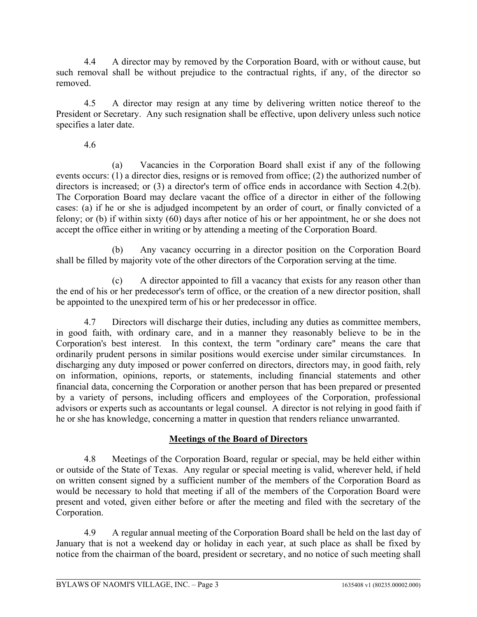4.4 A director may by removed by the Corporation Board, with or without cause, but such removal shall be without prejudice to the contractual rights, if any, of the director so removed.

4.5 A director may resign at any time by delivering written notice thereof to the President or Secretary. Any such resignation shall be effective, upon delivery unless such notice specifies a later date.

## 4.6

(a) Vacancies in the Corporation Board shall exist if any of the following events occurs: (1) a director dies, resigns or is removed from office; (2) the authorized number of directors is increased; or (3) a director's term of office ends in accordance with Section 4.2(b). The Corporation Board may declare vacant the office of a director in either of the following cases: (a) if he or she is adjudged incompetent by an order of court, or finally convicted of a felony; or (b) if within sixty (60) days after notice of his or her appointment, he or she does not accept the office either in writing or by attending a meeting of the Corporation Board.

(b) Any vacancy occurring in a director position on the Corporation Board shall be filled by majority vote of the other directors of the Corporation serving at the time.

(c) A director appointed to fill a vacancy that exists for any reason other than the end of his or her predecessor's term of office, or the creation of a new director position, shall be appointed to the unexpired term of his or her predecessor in office.

4.7 Directors will discharge their duties, including any duties as committee members, in good faith, with ordinary care, and in a manner they reasonably believe to be in the Corporation's best interest. In this context, the term "ordinary care" means the care that ordinarily prudent persons in similar positions would exercise under similar circumstances. In discharging any duty imposed or power conferred on directors, directors may, in good faith, rely on information, opinions, reports, or statements, including financial statements and other financial data, concerning the Corporation or another person that has been prepared or presented by a variety of persons, including officers and employees of the Corporation, professional advisors or experts such as accountants or legal counsel. A director is not relying in good faith if he or she has knowledge, concerning a matter in question that renders reliance unwarranted.

# **Meetings of the Board of Directors**

4.8 Meetings of the Corporation Board, regular or special, may be held either within or outside of the State of Texas. Any regular or special meeting is valid, wherever held, if held on written consent signed by a sufficient number of the members of the Corporation Board as would be necessary to hold that meeting if all of the members of the Corporation Board were present and voted, given either before or after the meeting and filed with the secretary of the Corporation.

4.9 A regular annual meeting of the Corporation Board shall be held on the last day of January that is not a weekend day or holiday in each year, at such place as shall be fixed by notice from the chairman of the board, president or secretary, and no notice of such meeting shall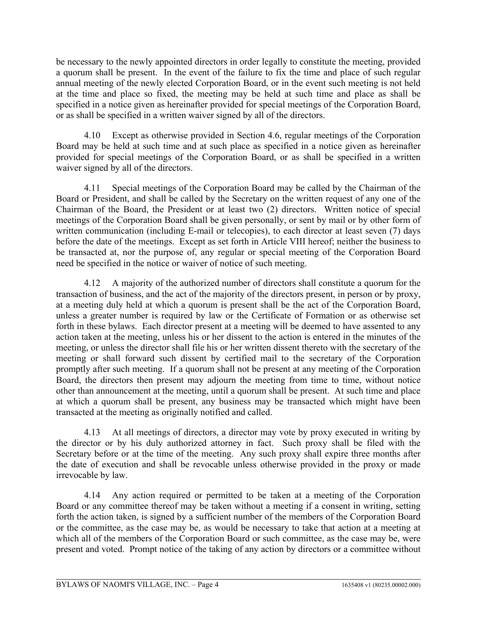be necessary to the newly appointed directors in order legally to constitute the meeting, provided a quorum shall be present. In the event of the failure to fix the time and place of such regular annual meeting of the newly elected Corporation Board, or in the event such meeting is not held at the time and place so fixed, the meeting may be held at such time and place as shall be specified in a notice given as hereinafter provided for special meetings of the Corporation Board, or as shall be specified in a written waiver signed by all of the directors.

4.10 Except as otherwise provided in Section 4.6, regular meetings of the Corporation Board may be held at such time and at such place as specified in a notice given as hereinafter provided for special meetings of the Corporation Board, or as shall be specified in a written waiver signed by all of the directors.

4.11 Special meetings of the Corporation Board may be called by the Chairman of the Board or President, and shall be called by the Secretary on the written request of any one of the Chairman of the Board, the President or at least two (2) directors. Written notice of special meetings of the Corporation Board shall be given personally, or sent by mail or by other form of written communication (including E-mail or telecopies), to each director at least seven (7) days before the date of the meetings. Except as set forth in Article VIII hereof; neither the business to be transacted at, nor the purpose of, any regular or special meeting of the Corporation Board need be specified in the notice or waiver of notice of such meeting.

4.12 A majority of the authorized number of directors shall constitute a quorum for the transaction of business, and the act of the majority of the directors present, in person or by proxy, at a meeting duly held at which a quorum is present shall be the act of the Corporation Board, unless a greater number is required by law or the Certificate of Formation or as otherwise set forth in these bylaws. Each director present at a meeting will be deemed to have assented to any action taken at the meeting, unless his or her dissent to the action is entered in the minutes of the meeting, or unless the director shall file his or her written dissent thereto with the secretary of the meeting or shall forward such dissent by certified mail to the secretary of the Corporation promptly after such meeting. If a quorum shall not be present at any meeting of the Corporation Board, the directors then present may adjourn the meeting from time to time, without notice other than announcement at the meeting, until a quorum shall be present. At such time and place at which a quorum shall be present, any business may be transacted which might have been transacted at the meeting as originally notified and called.

4.13 At all meetings of directors, a director may vote by proxy executed in writing by the director or by his duly authorized attorney in fact. Such proxy shall be filed with the Secretary before or at the time of the meeting. Any such proxy shall expire three months after the date of execution and shall be revocable unless otherwise provided in the proxy or made irrevocable by law.

4.14 Any action required or permitted to be taken at a meeting of the Corporation Board or any committee thereof may be taken without a meeting if a consent in writing, setting forth the action taken, is signed by a sufficient number of the members of the Corporation Board or the committee, as the case may be, as would be necessary to take that action at a meeting at which all of the members of the Corporation Board or such committee, as the case may be, were present and voted. Prompt notice of the taking of any action by directors or a committee without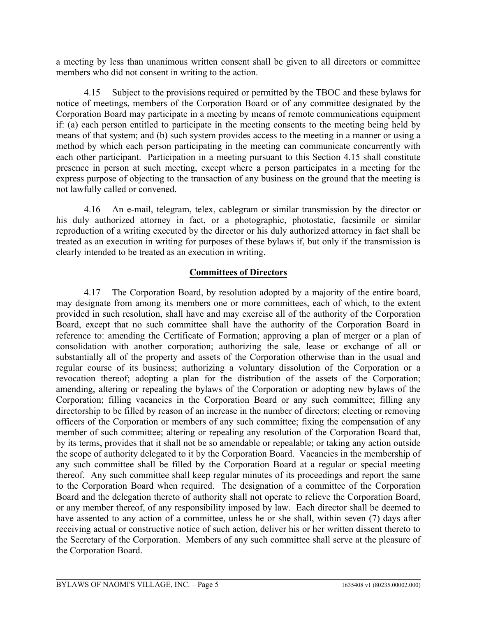a meeting by less than unanimous written consent shall be given to all directors or committee members who did not consent in writing to the action.

4.15 Subject to the provisions required or permitted by the TBOC and these bylaws for notice of meetings, members of the Corporation Board or of any committee designated by the Corporation Board may participate in a meeting by means of remote communications equipment if: (a) each person entitled to participate in the meeting consents to the meeting being held by means of that system; and (b) such system provides access to the meeting in a manner or using a method by which each person participating in the meeting can communicate concurrently with each other participant. Participation in a meeting pursuant to this Section 4.15 shall constitute presence in person at such meeting, except where a person participates in a meeting for the express purpose of objecting to the transaction of any business on the ground that the meeting is not lawfully called or convened.

4.16 An e-mail, telegram, telex, cablegram or similar transmission by the director or his duly authorized attorney in fact, or a photographic, photostatic, facsimile or similar reproduction of a writing executed by the director or his duly authorized attorney in fact shall be treated as an execution in writing for purposes of these bylaws if, but only if the transmission is clearly intended to be treated as an execution in writing.

#### **Committees of Directors**

4.17 The Corporation Board, by resolution adopted by a majority of the entire board, may designate from among its members one or more committees, each of which, to the extent provided in such resolution, shall have and may exercise all of the authority of the Corporation Board, except that no such committee shall have the authority of the Corporation Board in reference to: amending the Certificate of Formation; approving a plan of merger or a plan of consolidation with another corporation; authorizing the sale, lease or exchange of all or substantially all of the property and assets of the Corporation otherwise than in the usual and regular course of its business; authorizing a voluntary dissolution of the Corporation or a revocation thereof; adopting a plan for the distribution of the assets of the Corporation; amending, altering or repealing the bylaws of the Corporation or adopting new bylaws of the Corporation; filling vacancies in the Corporation Board or any such committee; filling any directorship to be filled by reason of an increase in the number of directors; electing or removing officers of the Corporation or members of any such committee; fixing the compensation of any member of such committee; altering or repealing any resolution of the Corporation Board that, by its terms, provides that it shall not be so amendable or repealable; or taking any action outside the scope of authority delegated to it by the Corporation Board. Vacancies in the membership of any such committee shall be filled by the Corporation Board at a regular or special meeting thereof. Any such committee shall keep regular minutes of its proceedings and report the same to the Corporation Board when required. The designation of a committee of the Corporation Board and the delegation thereto of authority shall not operate to relieve the Corporation Board, or any member thereof, of any responsibility imposed by law. Each director shall be deemed to have assented to any action of a committee, unless he or she shall, within seven (7) days after receiving actual or constructive notice of such action, deliver his or her written dissent thereto to the Secretary of the Corporation. Members of any such committee shall serve at the pleasure of the Corporation Board.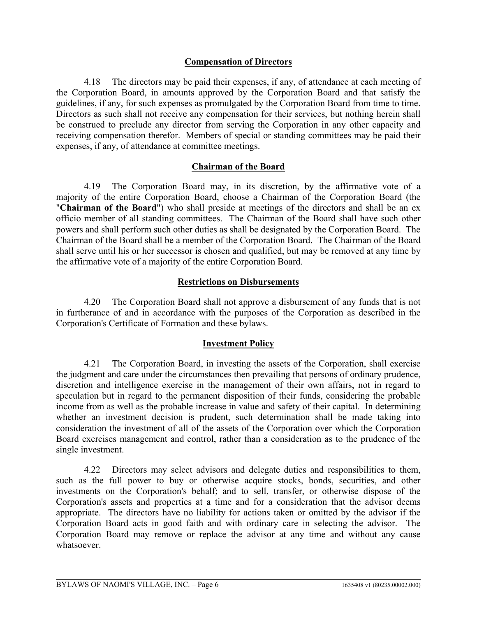### **Compensation of Directors**

4.18 The directors may be paid their expenses, if any, of attendance at each meeting of the Corporation Board, in amounts approved by the Corporation Board and that satisfy the guidelines, if any, for such expenses as promulgated by the Corporation Board from time to time. Directors as such shall not receive any compensation for their services, but nothing herein shall be construed to preclude any director from serving the Corporation in any other capacity and receiving compensation therefor. Members of special or standing committees may be paid their expenses, if any, of attendance at committee meetings.

#### **Chairman of the Board**

4.19 The Corporation Board may, in its discretion, by the affirmative vote of a majority of the entire Corporation Board, choose a Chairman of the Corporation Board (the "**Chairman of the Board**") who shall preside at meetings of the directors and shall be an ex officio member of all standing committees. The Chairman of the Board shall have such other powers and shall perform such other duties as shall be designated by the Corporation Board. The Chairman of the Board shall be a member of the Corporation Board. The Chairman of the Board shall serve until his or her successor is chosen and qualified, but may be removed at any time by the affirmative vote of a majority of the entire Corporation Board.

#### **Restrictions on Disbursements**

4.20 The Corporation Board shall not approve a disbursement of any funds that is not in furtherance of and in accordance with the purposes of the Corporation as described in the Corporation's Certificate of Formation and these bylaws.

### **Investment Policy**

4.21 The Corporation Board, in investing the assets of the Corporation, shall exercise the judgment and care under the circumstances then prevailing that persons of ordinary prudence, discretion and intelligence exercise in the management of their own affairs, not in regard to speculation but in regard to the permanent disposition of their funds, considering the probable income from as well as the probable increase in value and safety of their capital. In determining whether an investment decision is prudent, such determination shall be made taking into consideration the investment of all of the assets of the Corporation over which the Corporation Board exercises management and control, rather than a consideration as to the prudence of the single investment.

4.22 Directors may select advisors and delegate duties and responsibilities to them, such as the full power to buy or otherwise acquire stocks, bonds, securities, and other investments on the Corporation's behalf; and to sell, transfer, or otherwise dispose of the Corporation's assets and properties at a time and for a consideration that the advisor deems appropriate. The directors have no liability for actions taken or omitted by the advisor if the Corporation Board acts in good faith and with ordinary care in selecting the advisor. The Corporation Board may remove or replace the advisor at any time and without any cause whatsoever.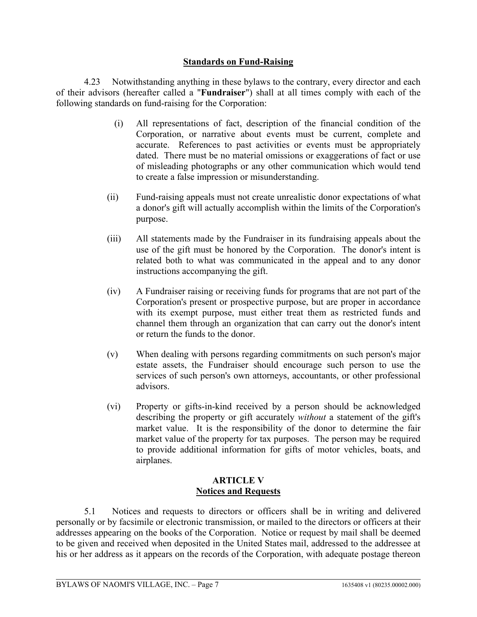## **Standards on Fund-Raising**

4.23 Notwithstanding anything in these bylaws to the contrary, every director and each of their advisors (hereafter called a "**Fundraiser**") shall at all times comply with each of the following standards on fund-raising for the Corporation:

- (i) All representations of fact, description of the financial condition of the Corporation, or narrative about events must be current, complete and accurate. References to past activities or events must be appropriately dated. There must be no material omissions or exaggerations of fact or use of misleading photographs or any other communication which would tend to create a false impression or misunderstanding.
- (ii) Fund-raising appeals must not create unrealistic donor expectations of what a donor's gift will actually accomplish within the limits of the Corporation's purpose.
- (iii) All statements made by the Fundraiser in its fundraising appeals about the use of the gift must be honored by the Corporation. The donor's intent is related both to what was communicated in the appeal and to any donor instructions accompanying the gift.
- (iv) A Fundraiser raising or receiving funds for programs that are not part of the Corporation's present or prospective purpose, but are proper in accordance with its exempt purpose, must either treat them as restricted funds and channel them through an organization that can carry out the donor's intent or return the funds to the donor.
- (v) When dealing with persons regarding commitments on such person's major estate assets, the Fundraiser should encourage such person to use the services of such person's own attorneys, accountants, or other professional advisors.
- (vi) Property or gifts-in-kind received by a person should be acknowledged describing the property or gift accurately *without* a statement of the gift's market value. It is the responsibility of the donor to determine the fair market value of the property for tax purposes. The person may be required to provide additional information for gifts of motor vehicles, boats, and airplanes.

### **ARTICLE V Notices and Requests**

5.1 Notices and requests to directors or officers shall be in writing and delivered personally or by facsimile or electronic transmission, or mailed to the directors or officers at their addresses appearing on the books of the Corporation. Notice or request by mail shall be deemed to be given and received when deposited in the United States mail, addressed to the addressee at his or her address as it appears on the records of the Corporation, with adequate postage thereon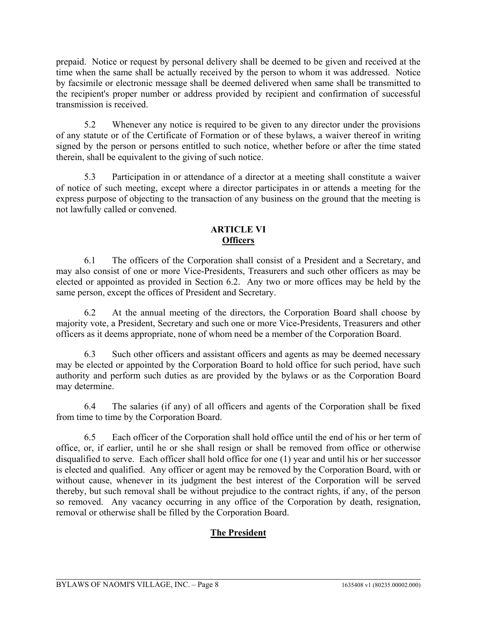prepaid. Notice or request by personal delivery shall be deemed to be given and received at the time when the same shall be actually received by the person to whom it was addressed. Notice by facsimile or electronic message shall be deemed delivered when same shall be transmitted to the recipient's proper number or address provided by recipient and confirmation of successful transmission is received.

5.2 Whenever any notice is required to be given to any director under the provisions of any statute or of the Certificate of Formation or of these bylaws, a waiver thereof in writing signed by the person or persons entitled to such notice, whether before or after the time stated therein, shall be equivalent to the giving of such notice.

5.3 Participation in or attendance of a director at a meeting shall constitute a waiver of notice of such meeting, except where a director participates in or attends a meeting for the express purpose of objecting to the transaction of any business on the ground that the meeting is not lawfully called or convened.

## **ARTICLE VI Officers**

6.1 The officers of the Corporation shall consist of a President and a Secretary, and may also consist of one or more Vice-Presidents, Treasurers and such other officers as may be elected or appointed as provided in Section 6.2. Any two or more offices may be held by the same person, except the offices of President and Secretary.

6.2 At the annual meeting of the directors, the Corporation Board shall choose by majority vote, a President, Secretary and such one or more Vice-Presidents, Treasurers and other officers as it deems appropriate, none of whom need be a member of the Corporation Board.

6.3 Such other officers and assistant officers and agents as may be deemed necessary may be elected or appointed by the Corporation Board to hold office for such period, have such authority and perform such duties as are provided by the bylaws or as the Corporation Board may determine.

6.4 The salaries (if any) of all officers and agents of the Corporation shall be fixed from time to time by the Corporation Board.

6.5 Each officer of the Corporation shall hold office until the end of his or her term of office, or, if earlier, until he or she shall resign or shall be removed from office or otherwise disqualified to serve. Each officer shall hold office for one (1) year and until his or her successor is elected and qualified. Any officer or agent may be removed by the Corporation Board, with or without cause, whenever in its judgment the best interest of the Corporation will be served thereby, but such removal shall be without prejudice to the contract rights, if any, of the person so removed. Any vacancy occurring in any office of the Corporation by death, resignation, removal or otherwise shall be filled by the Corporation Board.

# **The President**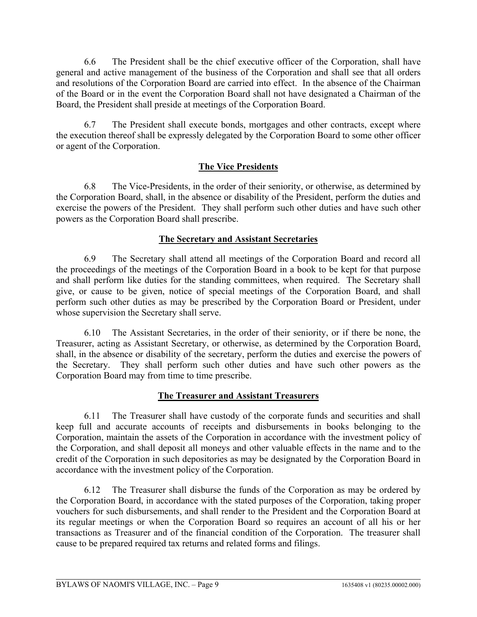6.6 The President shall be the chief executive officer of the Corporation, shall have general and active management of the business of the Corporation and shall see that all orders and resolutions of the Corporation Board are carried into effect. In the absence of the Chairman of the Board or in the event the Corporation Board shall not have designated a Chairman of the Board, the President shall preside at meetings of the Corporation Board.

6.7 The President shall execute bonds, mortgages and other contracts, except where the execution thereof shall be expressly delegated by the Corporation Board to some other officer or agent of the Corporation.

# **The Vice Presidents**

6.8 The Vice-Presidents, in the order of their seniority, or otherwise, as determined by the Corporation Board, shall, in the absence or disability of the President, perform the duties and exercise the powers of the President. They shall perform such other duties and have such other powers as the Corporation Board shall prescribe.

### **The Secretary and Assistant Secretaries**

6.9 The Secretary shall attend all meetings of the Corporation Board and record all the proceedings of the meetings of the Corporation Board in a book to be kept for that purpose and shall perform like duties for the standing committees, when required. The Secretary shall give, or cause to be given, notice of special meetings of the Corporation Board, and shall perform such other duties as may be prescribed by the Corporation Board or President, under whose supervision the Secretary shall serve.

6.10 The Assistant Secretaries, in the order of their seniority, or if there be none, the Treasurer, acting as Assistant Secretary, or otherwise, as determined by the Corporation Board, shall, in the absence or disability of the secretary, perform the duties and exercise the powers of the Secretary. They shall perform such other duties and have such other powers as the Corporation Board may from time to time prescribe.

# **The Treasurer and Assistant Treasurers**

6.11 The Treasurer shall have custody of the corporate funds and securities and shall keep full and accurate accounts of receipts and disbursements in books belonging to the Corporation, maintain the assets of the Corporation in accordance with the investment policy of the Corporation, and shall deposit all moneys and other valuable effects in the name and to the credit of the Corporation in such depositories as may be designated by the Corporation Board in accordance with the investment policy of the Corporation.

6.12 The Treasurer shall disburse the funds of the Corporation as may be ordered by the Corporation Board, in accordance with the stated purposes of the Corporation, taking proper vouchers for such disbursements, and shall render to the President and the Corporation Board at its regular meetings or when the Corporation Board so requires an account of all his or her transactions as Treasurer and of the financial condition of the Corporation. The treasurer shall cause to be prepared required tax returns and related forms and filings.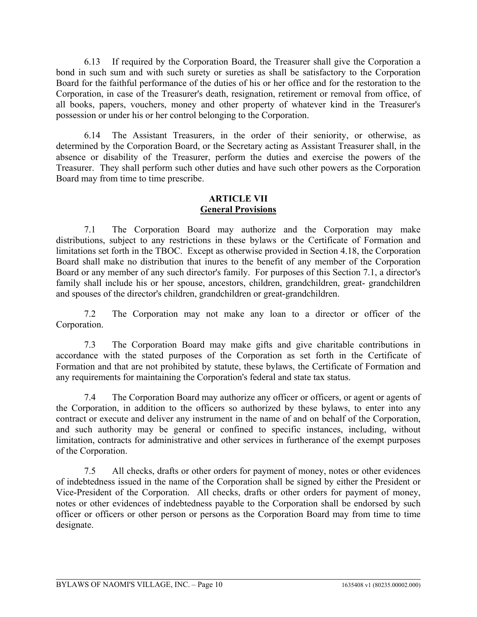6.13 If required by the Corporation Board, the Treasurer shall give the Corporation a bond in such sum and with such surety or sureties as shall be satisfactory to the Corporation Board for the faithful performance of the duties of his or her office and for the restoration to the Corporation, in case of the Treasurer's death, resignation, retirement or removal from office, of all books, papers, vouchers, money and other property of whatever kind in the Treasurer's possession or under his or her control belonging to the Corporation.

6.14 The Assistant Treasurers, in the order of their seniority, or otherwise, as determined by the Corporation Board, or the Secretary acting as Assistant Treasurer shall, in the absence or disability of the Treasurer, perform the duties and exercise the powers of the Treasurer. They shall perform such other duties and have such other powers as the Corporation Board may from time to time prescribe.

# **ARTICLE VII General Provisions**

7.1 The Corporation Board may authorize and the Corporation may make distributions, subject to any restrictions in these bylaws or the Certificate of Formation and limitations set forth in the TBOC. Except as otherwise provided in Section 4.18, the Corporation Board shall make no distribution that inures to the benefit of any member of the Corporation Board or any member of any such director's family. For purposes of this Section 7.1, a director's family shall include his or her spouse, ancestors, children, grandchildren, great- grandchildren and spouses of the director's children, grandchildren or great-grandchildren.

7.2 The Corporation may not make any loan to a director or officer of the Corporation.

7.3 The Corporation Board may make gifts and give charitable contributions in accordance with the stated purposes of the Corporation as set forth in the Certificate of Formation and that are not prohibited by statute, these bylaws, the Certificate of Formation and any requirements for maintaining the Corporation's federal and state tax status.

7.4 The Corporation Board may authorize any officer or officers, or agent or agents of the Corporation, in addition to the officers so authorized by these bylaws, to enter into any contract or execute and deliver any instrument in the name of and on behalf of the Corporation, and such authority may be general or confined to specific instances, including, without limitation, contracts for administrative and other services in furtherance of the exempt purposes of the Corporation.

7.5 All checks, drafts or other orders for payment of money, notes or other evidences of indebtedness issued in the name of the Corporation shall be signed by either the President or Vice-President of the Corporation. All checks, drafts or other orders for payment of money, notes or other evidences of indebtedness payable to the Corporation shall be endorsed by such officer or officers or other person or persons as the Corporation Board may from time to time designate.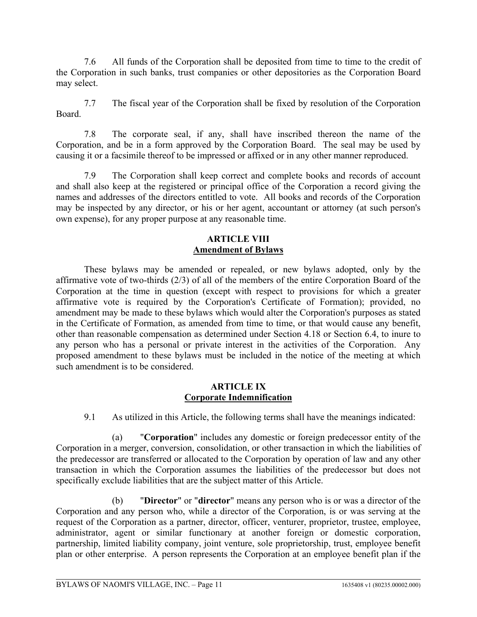7.6 All funds of the Corporation shall be deposited from time to time to the credit of the Corporation in such banks, trust companies or other depositories as the Corporation Board may select.

7.7 The fiscal year of the Corporation shall be fixed by resolution of the Corporation Board.

7.8 The corporate seal, if any, shall have inscribed thereon the name of the Corporation, and be in a form approved by the Corporation Board. The seal may be used by causing it or a facsimile thereof to be impressed or affixed or in any other manner reproduced.

7.9 The Corporation shall keep correct and complete books and records of account and shall also keep at the registered or principal office of the Corporation a record giving the names and addresses of the directors entitled to vote. All books and records of the Corporation may be inspected by any director, or his or her agent, accountant or attorney (at such person's own expense), for any proper purpose at any reasonable time.

#### **ARTICLE VIII Amendment of Bylaws**

These bylaws may be amended or repealed, or new bylaws adopted, only by the affirmative vote of two-thirds (2/3) of all of the members of the entire Corporation Board of the Corporation at the time in question (except with respect to provisions for which a greater affirmative vote is required by the Corporation's Certificate of Formation); provided, no amendment may be made to these bylaws which would alter the Corporation's purposes as stated in the Certificate of Formation, as amended from time to time, or that would cause any benefit, other than reasonable compensation as determined under Section 4.18 or Section 6.4, to inure to any person who has a personal or private interest in the activities of the Corporation. Any proposed amendment to these bylaws must be included in the notice of the meeting at which such amendment is to be considered.

#### **ARTICLE IX Corporate Indemnification**

9.1 As utilized in this Article, the following terms shall have the meanings indicated:

(a) "**Corporation**" includes any domestic or foreign predecessor entity of the Corporation in a merger, conversion, consolidation, or other transaction in which the liabilities of the predecessor are transferred or allocated to the Corporation by operation of law and any other transaction in which the Corporation assumes the liabilities of the predecessor but does not specifically exclude liabilities that are the subject matter of this Article.

(b) "**Director**" or "**director**" means any person who is or was a director of the Corporation and any person who, while a director of the Corporation, is or was serving at the request of the Corporation as a partner, director, officer, venturer, proprietor, trustee, employee, administrator, agent or similar functionary at another foreign or domestic corporation, partnership, limited liability company, joint venture, sole proprietorship, trust, employee benefit plan or other enterprise. A person represents the Corporation at an employee benefit plan if the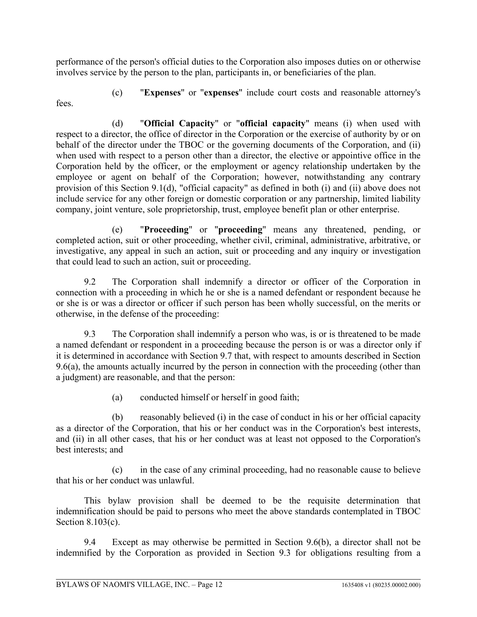performance of the person's official duties to the Corporation also imposes duties on or otherwise involves service by the person to the plan, participants in, or beneficiaries of the plan.

(c) "**Expenses**" or "**expenses**" include court costs and reasonable attorney's

(d) "**Official Capacity**" or "**official capacity**" means (i) when used with respect to a director, the office of director in the Corporation or the exercise of authority by or on behalf of the director under the TBOC or the governing documents of the Corporation, and (ii) when used with respect to a person other than a director, the elective or appointive office in the Corporation held by the officer, or the employment or agency relationship undertaken by the employee or agent on behalf of the Corporation; however, notwithstanding any contrary provision of this Section 9.1(d), "official capacity" as defined in both (i) and (ii) above does not include service for any other foreign or domestic corporation or any partnership, limited liability company, joint venture, sole proprietorship, trust, employee benefit plan or other enterprise.

(e) "**Proceeding**" or "**proceeding**" means any threatened, pending, or completed action, suit or other proceeding, whether civil, criminal, administrative, arbitrative, or investigative, any appeal in such an action, suit or proceeding and any inquiry or investigation that could lead to such an action, suit or proceeding.

9.2 The Corporation shall indemnify a director or officer of the Corporation in connection with a proceeding in which he or she is a named defendant or respondent because he or she is or was a director or officer if such person has been wholly successful, on the merits or otherwise, in the defense of the proceeding:

9.3 The Corporation shall indemnify a person who was, is or is threatened to be made a named defendant or respondent in a proceeding because the person is or was a director only if it is determined in accordance with Section 9.7 that, with respect to amounts described in Section 9.6(a), the amounts actually incurred by the person in connection with the proceeding (other than a judgment) are reasonable, and that the person:

(a) conducted himself or herself in good faith;

(b) reasonably believed (i) in the case of conduct in his or her official capacity as a director of the Corporation, that his or her conduct was in the Corporation's best interests, and (ii) in all other cases, that his or her conduct was at least not opposed to the Corporation's best interests; and

(c) in the case of any criminal proceeding, had no reasonable cause to believe that his or her conduct was unlawful.

This bylaw provision shall be deemed to be the requisite determination that indemnification should be paid to persons who meet the above standards contemplated in TBOC Section 8.103(c).

9.4 Except as may otherwise be permitted in Section 9.6(b), a director shall not be indemnified by the Corporation as provided in Section 9.3 for obligations resulting from a

fees.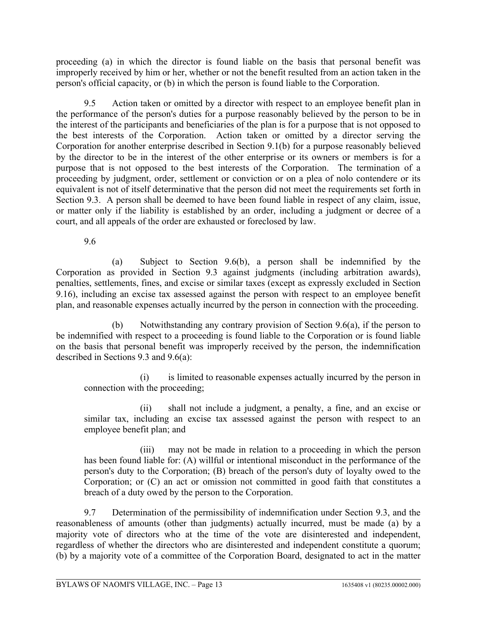proceeding (a) in which the director is found liable on the basis that personal benefit was improperly received by him or her, whether or not the benefit resulted from an action taken in the person's official capacity, or (b) in which the person is found liable to the Corporation.

9.5 Action taken or omitted by a director with respect to an employee benefit plan in the performance of the person's duties for a purpose reasonably believed by the person to be in the interest of the participants and beneficiaries of the plan is for a purpose that is not opposed to the best interests of the Corporation. Action taken or omitted by a director serving the Corporation for another enterprise described in Section 9.1(b) for a purpose reasonably believed by the director to be in the interest of the other enterprise or its owners or members is for a purpose that is not opposed to the best interests of the Corporation. The termination of a proceeding by judgment, order, settlement or conviction or on a plea of nolo contendere or its equivalent is not of itself determinative that the person did not meet the requirements set forth in Section 9.3. A person shall be deemed to have been found liable in respect of any claim, issue, or matter only if the liability is established by an order, including a judgment or decree of a court, and all appeals of the order are exhausted or foreclosed by law.

9.6

(a) Subject to Section 9.6(b), a person shall be indemnified by the Corporation as provided in Section 9.3 against judgments (including arbitration awards), penalties, settlements, fines, and excise or similar taxes (except as expressly excluded in Section 9.16), including an excise tax assessed against the person with respect to an employee benefit plan, and reasonable expenses actually incurred by the person in connection with the proceeding.

(b) Notwithstanding any contrary provision of Section 9.6(a), if the person to be indemnified with respect to a proceeding is found liable to the Corporation or is found liable on the basis that personal benefit was improperly received by the person, the indemnification described in Sections 9.3 and 9.6(a):

(i) is limited to reasonable expenses actually incurred by the person in connection with the proceeding;

(ii) shall not include a judgment, a penalty, a fine, and an excise or similar tax, including an excise tax assessed against the person with respect to an employee benefit plan; and

(iii) may not be made in relation to a proceeding in which the person has been found liable for: (A) willful or intentional misconduct in the performance of the person's duty to the Corporation; (B) breach of the person's duty of loyalty owed to the Corporation; or (C) an act or omission not committed in good faith that constitutes a breach of a duty owed by the person to the Corporation.

9.7 Determination of the permissibility of indemnification under Section 9.3, and the reasonableness of amounts (other than judgments) actually incurred, must be made (a) by a majority vote of directors who at the time of the vote are disinterested and independent, regardless of whether the directors who are disinterested and independent constitute a quorum; (b) by a majority vote of a committee of the Corporation Board, designated to act in the matter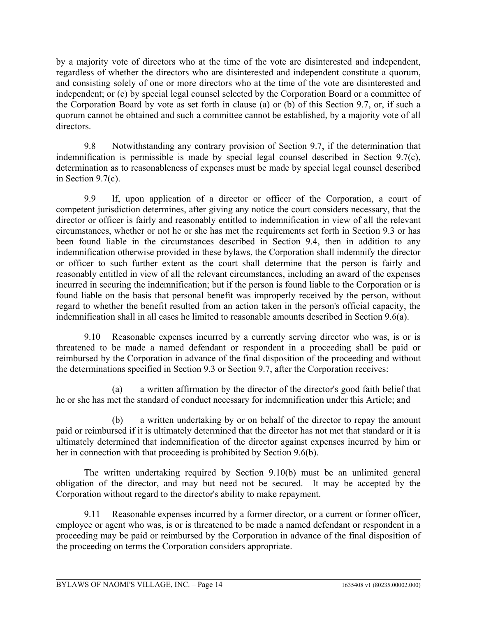by a majority vote of directors who at the time of the vote are disinterested and independent, regardless of whether the directors who are disinterested and independent constitute a quorum, and consisting solely of one or more directors who at the time of the vote are disinterested and independent; or (c) by special legal counsel selected by the Corporation Board or a committee of the Corporation Board by vote as set forth in clause (a) or (b) of this Section 9.7, or, if such a quorum cannot be obtained and such a committee cannot be established, by a majority vote of all directors.

9.8 Notwithstanding any contrary provision of Section 9.7, if the determination that indemnification is permissible is made by special legal counsel described in Section 9.7(c), determination as to reasonableness of expenses must be made by special legal counsel described in Section 9.7(c).

9.9 lf, upon application of a director or officer of the Corporation, a court of competent jurisdiction determines, after giving any notice the court considers necessary, that the director or officer is fairly and reasonably entitled to indemnification in view of all the relevant circumstances, whether or not he or she has met the requirements set forth in Section 9.3 or has been found liable in the circumstances described in Section 9.4, then in addition to any indemnification otherwise provided in these bylaws, the Corporation shall indemnify the director or officer to such further extent as the court shall determine that the person is fairly and reasonably entitled in view of all the relevant circumstances, including an award of the expenses incurred in securing the indemnification; but if the person is found liable to the Corporation or is found liable on the basis that personal benefit was improperly received by the person, without regard to whether the benefit resulted from an action taken in the person's official capacity, the indemnification shall in all cases he limited to reasonable amounts described in Section 9.6(a).

9.10 Reasonable expenses incurred by a currently serving director who was, is or is threatened to be made a named defendant or respondent in a proceeding shall be paid or reimbursed by the Corporation in advance of the final disposition of the proceeding and without the determinations specified in Section 9.3 or Section 9.7, after the Corporation receives:

(a) a written affirmation by the director of the director's good faith belief that he or she has met the standard of conduct necessary for indemnification under this Article; and

(b) a written undertaking by or on behalf of the director to repay the amount paid or reimbursed if it is ultimately determined that the director has not met that standard or it is ultimately determined that indemnification of the director against expenses incurred by him or her in connection with that proceeding is prohibited by Section 9.6(b).

The written undertaking required by Section 9.10(b) must be an unlimited general obligation of the director, and may but need not be secured. It may be accepted by the Corporation without regard to the director's ability to make repayment.

9.11 Reasonable expenses incurred by a former director, or a current or former officer, employee or agent who was, is or is threatened to be made a named defendant or respondent in a proceeding may be paid or reimbursed by the Corporation in advance of the final disposition of the proceeding on terms the Corporation considers appropriate.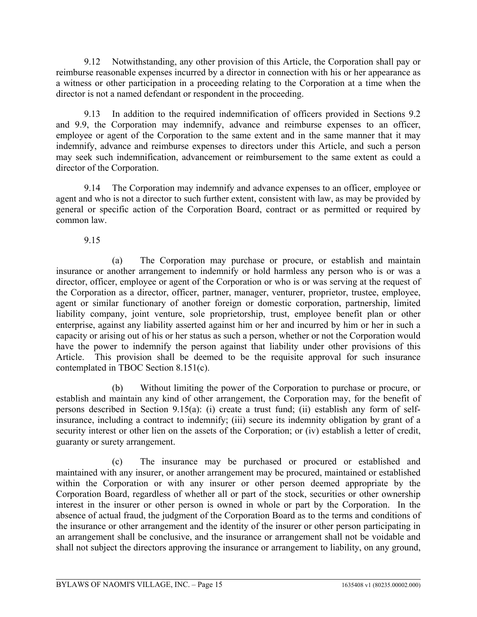9.12 Notwithstanding, any other provision of this Article, the Corporation shall pay or reimburse reasonable expenses incurred by a director in connection with his or her appearance as a witness or other participation in a proceeding relating to the Corporation at a time when the director is not a named defendant or respondent in the proceeding.

9.13 In addition to the required indemnification of officers provided in Sections 9.2 and 9.9, the Corporation may indemnify, advance and reimburse expenses to an officer, employee or agent of the Corporation to the same extent and in the same manner that it may indemnify, advance and reimburse expenses to directors under this Article, and such a person may seek such indemnification, advancement or reimbursement to the same extent as could a director of the Corporation.

9.14 The Corporation may indemnify and advance expenses to an officer, employee or agent and who is not a director to such further extent, consistent with law, as may be provided by general or specific action of the Corporation Board, contract or as permitted or required by common law.

9.15

(a) The Corporation may purchase or procure, or establish and maintain insurance or another arrangement to indemnify or hold harmless any person who is or was a director, officer, employee or agent of the Corporation or who is or was serving at the request of the Corporation as a director, officer, partner, manager, venturer, proprietor, trustee, employee, agent or similar functionary of another foreign or domestic corporation, partnership, limited liability company, joint venture, sole proprietorship, trust, employee benefit plan or other enterprise, against any liability asserted against him or her and incurred by him or her in such a capacity or arising out of his or her status as such a person, whether or not the Corporation would have the power to indemnify the person against that liability under other provisions of this Article. This provision shall be deemed to be the requisite approval for such insurance contemplated in TBOC Section 8.151(c).

(b) Without limiting the power of the Corporation to purchase or procure, or establish and maintain any kind of other arrangement, the Corporation may, for the benefit of persons described in Section 9.15(a): (i) create a trust fund; (ii) establish any form of selfinsurance, including a contract to indemnify; (iii) secure its indemnity obligation by grant of a security interest or other lien on the assets of the Corporation; or (iv) establish a letter of credit, guaranty or surety arrangement.

(c) The insurance may be purchased or procured or established and maintained with any insurer, or another arrangement may be procured, maintained or established within the Corporation or with any insurer or other person deemed appropriate by the Corporation Board, regardless of whether all or part of the stock, securities or other ownership interest in the insurer or other person is owned in whole or part by the Corporation. In the absence of actual fraud, the judgment of the Corporation Board as to the terms and conditions of the insurance or other arrangement and the identity of the insurer or other person participating in an arrangement shall be conclusive, and the insurance or arrangement shall not be voidable and shall not subject the directors approving the insurance or arrangement to liability, on any ground,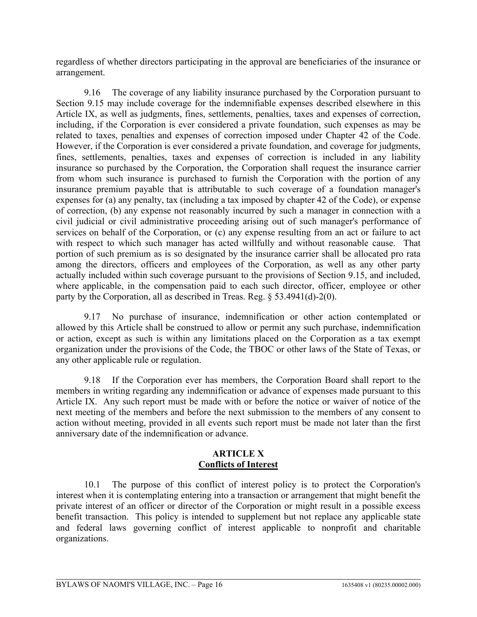regardless of whether directors participating in the approval are beneficiaries of the insurance or arrangement.

9.16 The coverage of any liability insurance purchased by the Corporation pursuant to Section 9.15 may include coverage for the indemnifiable expenses described elsewhere in this Article IX, as well as judgments, fines, settlements, penalties, taxes and expenses of correction, including, if the Corporation is ever considered a private foundation, such expenses as may be related to taxes, penalties and expenses of correction imposed under Chapter 42 of the Code. However, if the Corporation is ever considered a private foundation, and coverage for judgments, fines, settlements, penalties, taxes and expenses of correction is included in any liability insurance so purchased by the Corporation, the Corporation shall request the insurance carrier from whom such insurance is purchased to furnish the Corporation with the portion of any insurance premium payable that is attributable to such coverage of a foundation manager's expenses for (a) any penalty, tax (including a tax imposed by chapter 42 of the Code), or expense of correction, (b) any expense not reasonably incurred by such a manager in connection with a civil judicial or civil administrative proceeding arising out of such manager's performance of services on behalf of the Corporation, or (c) any expense resulting from an act or failure to act with respect to which such manager has acted willfully and without reasonable cause. That portion of such premium as is so designated by the insurance carrier shall be allocated pro rata among the directors, officers and employees of the Corporation, as well as any other party actually included within such coverage pursuant to the provisions of Section 9.15, and included, where applicable, in the compensation paid to each such director, officer, employee or other party by the Corporation, all as described in Treas. Reg. § 53.4941(d)-2(0).

9.17 No purchase of insurance, indemnification or other action contemplated or allowed by this Article shall be construed to allow or permit any such purchase, indemnification or action, except as such is within any limitations placed on the Corporation as a tax exempt organization under the provisions of the Code, the TBOC or other laws of the State of Texas, or any other applicable rule or regulation.

9.18 If the Corporation ever has members, the Corporation Board shall report to the members in writing regarding any indemnification or advance of expenses made pursuant to this Article IX. Any such report must be made with or before the notice or waiver of notice of the next meeting of the members and before the next submission to the members of any consent to action without meeting, provided in all events such report must be made not later than the first anniversary date of the indemnification or advance.

#### **ARTICLE X Conflicts of Interest**

10.1 The purpose of this conflict of interest policy is to protect the Corporation's interest when it is contemplating entering into a transaction or arrangement that might benefit the private interest of an officer or director of the Corporation or might result in a possible excess benefit transaction. This policy is intended to supplement but not replace any applicable state and federal laws governing conflict of interest applicable to nonprofit and charitable organizations.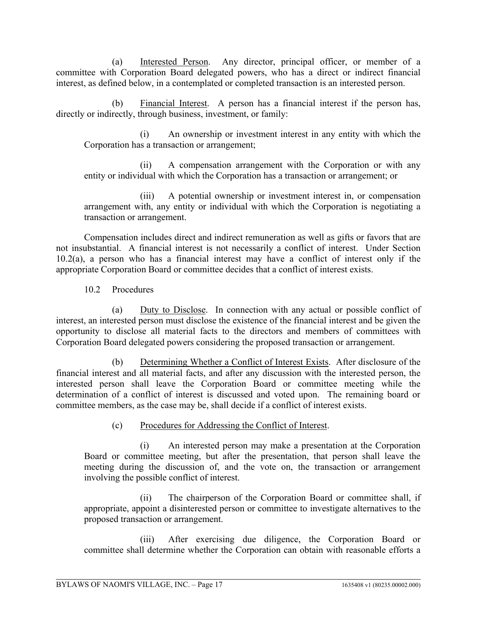(a) Interested Person. Any director, principal officer, or member of a committee with Corporation Board delegated powers, who has a direct or indirect financial interest, as defined below, in a contemplated or completed transaction is an interested person.

(b) Financial Interest. A person has a financial interest if the person has, directly or indirectly, through business, investment, or family:

(i) An ownership or investment interest in any entity with which the Corporation has a transaction or arrangement;

(ii) A compensation arrangement with the Corporation or with any entity or individual with which the Corporation has a transaction or arrangement; or

(iii) A potential ownership or investment interest in, or compensation arrangement with, any entity or individual with which the Corporation is negotiating a transaction or arrangement.

Compensation includes direct and indirect remuneration as well as gifts or favors that are not insubstantial. A financial interest is not necessarily a conflict of interest. Under Section 10.2(a), a person who has a financial interest may have a conflict of interest only if the appropriate Corporation Board or committee decides that a conflict of interest exists.

10.2 Procedures

(a) Duty to Disclose. In connection with any actual or possible conflict of interest, an interested person must disclose the existence of the financial interest and be given the opportunity to disclose all material facts to the directors and members of committees with Corporation Board delegated powers considering the proposed transaction or arrangement.

(b) Determining Whether a Conflict of Interest Exists. After disclosure of the financial interest and all material facts, and after any discussion with the interested person, the interested person shall leave the Corporation Board or committee meeting while the determination of a conflict of interest is discussed and voted upon. The remaining board or committee members, as the case may be, shall decide if a conflict of interest exists.

(c) Procedures for Addressing the Conflict of Interest.

(i) An interested person may make a presentation at the Corporation Board or committee meeting, but after the presentation, that person shall leave the meeting during the discussion of, and the vote on, the transaction or arrangement involving the possible conflict of interest.

(ii) The chairperson of the Corporation Board or committee shall, if appropriate, appoint a disinterested person or committee to investigate alternatives to the proposed transaction or arrangement.

(iii) After exercising due diligence, the Corporation Board or committee shall determine whether the Corporation can obtain with reasonable efforts a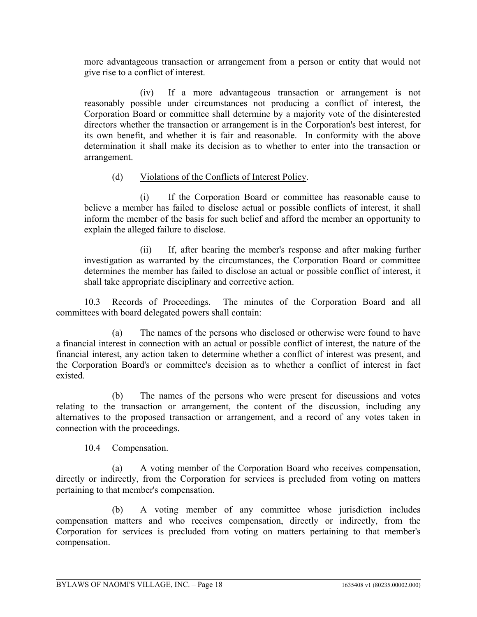more advantageous transaction or arrangement from a person or entity that would not give rise to a conflict of interest.

(iv) If a more advantageous transaction or arrangement is not reasonably possible under circumstances not producing a conflict of interest, the Corporation Board or committee shall determine by a majority vote of the disinterested directors whether the transaction or arrangement is in the Corporation's best interest, for its own benefit, and whether it is fair and reasonable. In conformity with the above determination it shall make its decision as to whether to enter into the transaction or arrangement.

### (d) Violations of the Conflicts of Interest Policy.

(i) If the Corporation Board or committee has reasonable cause to believe a member has failed to disclose actual or possible conflicts of interest, it shall inform the member of the basis for such belief and afford the member an opportunity to explain the alleged failure to disclose.

(ii) If, after hearing the member's response and after making further investigation as warranted by the circumstances, the Corporation Board or committee determines the member has failed to disclose an actual or possible conflict of interest, it shall take appropriate disciplinary and corrective action.

10.3 Records of Proceedings. The minutes of the Corporation Board and all committees with board delegated powers shall contain:

(a) The names of the persons who disclosed or otherwise were found to have a financial interest in connection with an actual or possible conflict of interest, the nature of the financial interest, any action taken to determine whether a conflict of interest was present, and the Corporation Board's or committee's decision as to whether a conflict of interest in fact existed.

(b) The names of the persons who were present for discussions and votes relating to the transaction or arrangement, the content of the discussion, including any alternatives to the proposed transaction or arrangement, and a record of any votes taken in connection with the proceedings.

10.4 Compensation.

(a) A voting member of the Corporation Board who receives compensation, directly or indirectly, from the Corporation for services is precluded from voting on matters pertaining to that member's compensation.

(b) A voting member of any committee whose jurisdiction includes compensation matters and who receives compensation, directly or indirectly, from the Corporation for services is precluded from voting on matters pertaining to that member's compensation.